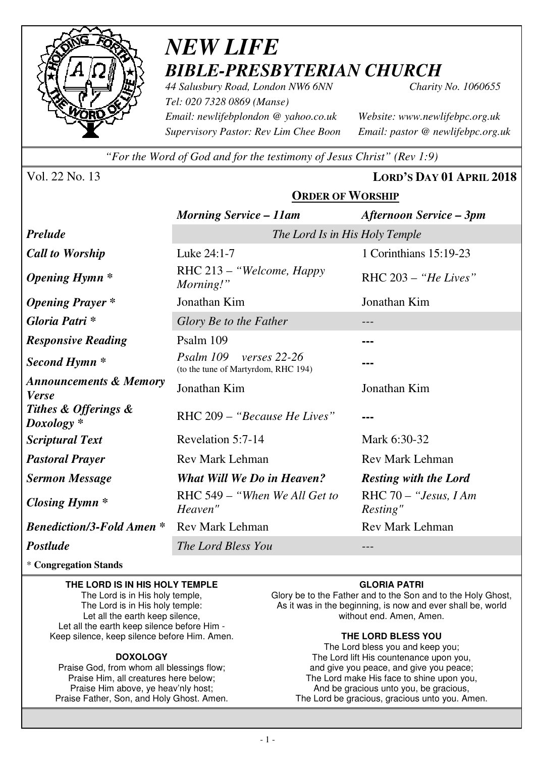

# *NEW LIFE BIBLE-PRESBYTERIAN CHURCH*

**ORDER OF WORSHIP**

*44 Salusbury Road, London NW6 6NN Charity No. 1060655 Tel: 020 7328 0869 (Manse) Email: newlifebplondon @ yahoo.co.uk Website: www.newlifebpc.org.uk Supervisory Pastor: Rev Lim Chee Boon Email: pastor @ newlifebpc.org.uk* 

*"For the Word of God and for the testimony of Jesus Christ" (Rev 1:9)*

Vol. 22 No. 13 **LORD'S DAY 01 APRIL 2018**

|                                                   | <b>Morning Service – 11am</b>                                      | Afternoon Service – 3pm             |  |
|---------------------------------------------------|--------------------------------------------------------------------|-------------------------------------|--|
| <b>Prelude</b>                                    | The Lord Is in His Holy Temple                                     |                                     |  |
| <b>Call to Worship</b>                            | Luke 24:1-7                                                        | 1 Corinthians 15:19-23              |  |
| <b>Opening Hymn</b> *                             | RHC 213 - "Welcome, Happy<br>Morning!"                             | RHC $203 - "He Lives"$              |  |
| <b>Opening Prayer</b> *                           | Jonathan Kim                                                       | Jonathan Kim                        |  |
| Gloria Patri*                                     | Glory Be to the Father                                             |                                     |  |
| <b>Responsive Reading</b>                         | Psalm 109                                                          |                                     |  |
| Second Hymn <sup>*</sup>                          | Psalm 109<br>verses $22-26$<br>(to the tune of Martyrdom, RHC 194) |                                     |  |
| <b>Announcements &amp; Memory</b><br><b>Verse</b> | Jonathan Kim                                                       | Jonathan Kim                        |  |
| Tithes & Offerings &<br>$Doxology *$              | RHC 209 – "Because He Lives"                                       |                                     |  |
| <b>Scriptural Text</b>                            | Revelation 5:7-14                                                  | Mark 6:30-32                        |  |
| <b>Pastoral Prayer</b>                            | <b>Rev Mark Lehman</b>                                             | <b>Rev Mark Lehman</b>              |  |
| <b>Sermon Message</b>                             | <b>What Will We Do in Heaven?</b>                                  | <b>Resting with the Lord</b>        |  |
| <b>Closing Hymn</b> *                             | RHC 549 – "When We All Get to<br>Heaven"                           | RHC $70 -$ "Jesus, I Am<br>Resting" |  |
| <b>Benediction/3-Fold Amen *</b>                  | <b>Rev Mark Lehman</b>                                             | <b>Rev Mark Lehman</b>              |  |
| <b>Postlude</b>                                   | The Lord Bless You                                                 |                                     |  |

\* **Congregation Stands** 

### **THE LORD IS IN HIS HOLY TEMPLE**

The Lord is in His holy temple, The Lord is in His holy temple: Let all the earth keep silence, Let all the earth keep silence before Him - Keep silence, keep silence before Him. Amen.

### **DOXOLOGY**

Praise God, from whom all blessings flow; Praise Him, all creatures here below; Praise Him above, ye heav'nly host; Praise Father, Son, and Holy Ghost. Amen.

### **GLORIA PATRI**

Glory be to the Father and to the Son and to the Holy Ghost, As it was in the beginning, is now and ever shall be, world without end. Amen, Amen.

### **THE LORD BLESS YOU**

The Lord bless you and keep you; The Lord lift His countenance upon you, and give you peace, and give you peace; The Lord make His face to shine upon you, And be gracious unto you, be gracious, The Lord be gracious, gracious unto you. Amen.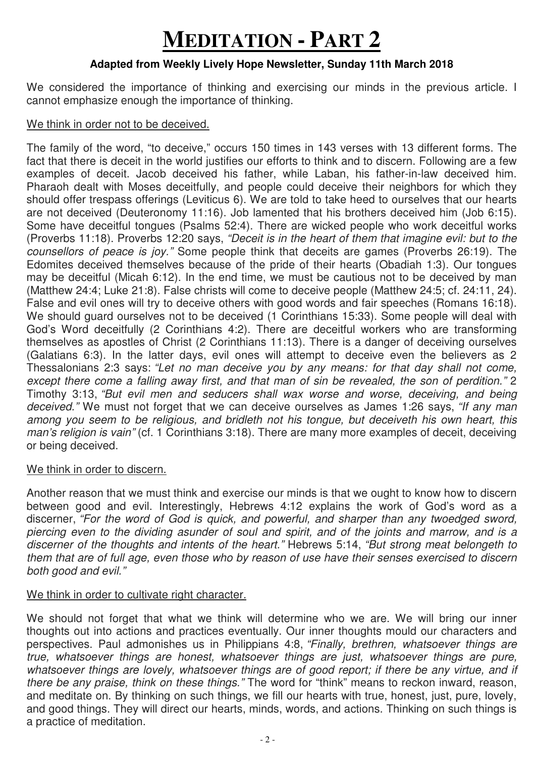# **MEDITATION - PART 2**

# **Adapted from Weekly Lively Hope Newsletter, Sunday 11th March 2018**

We considered the importance of thinking and exercising our minds in the previous article. I cannot emphasize enough the importance of thinking.

# We think in order not to be deceived.

The family of the word, "to deceive," occurs 150 times in 143 verses with 13 different forms. The fact that there is deceit in the world justifies our efforts to think and to discern. Following are a few examples of deceit. Jacob deceived his father, while Laban, his father-in-law deceived him. Pharaoh dealt with Moses deceitfully, and people could deceive their neighbors for which they should offer trespass offerings (Leviticus 6). We are told to take heed to ourselves that our hearts are not deceived (Deuteronomy 11:16). Job lamented that his brothers deceived him (Job 6:15). Some have deceitful tongues (Psalms 52:4). There are wicked people who work deceitful works (Proverbs 11:18). Proverbs 12:20 says, "Deceit is in the heart of them that imagine evil: but to the counsellors of peace is joy." Some people think that deceits are games (Proverbs 26:19). The Edomites deceived themselves because of the pride of their hearts (Obadiah 1:3). Our tongues may be deceitful (Micah 6:12). In the end time, we must be cautious not to be deceived by man (Matthew 24:4; Luke 21:8). False christs will come to deceive people (Matthew 24:5; cf. 24:11, 24). False and evil ones will try to deceive others with good words and fair speeches (Romans 16:18). We should guard ourselves not to be deceived (1 Corinthians 15:33). Some people will deal with God's Word deceitfully (2 Corinthians 4:2). There are deceitful workers who are transforming themselves as apostles of Christ (2 Corinthians 11:13). There is a danger of deceiving ourselves (Galatians 6:3). In the latter days, evil ones will attempt to deceive even the believers as 2 Thessalonians 2:3 says: "Let no man deceive you by any means: for that day shall not come, except there come a falling away first, and that man of sin be revealed, the son of perdition." 2 Timothy 3:13, "But evil men and seducers shall wax worse and worse, deceiving, and being deceived." We must not forget that we can deceive ourselves as James 1:26 says, "If any man among you seem to be religious, and bridleth not his tongue, but deceiveth his own heart, this man's religion is vain" (cf. 1 Corinthians 3:18). There are many more examples of deceit, deceiving or being deceived.

### We think in order to discern.

Another reason that we must think and exercise our minds is that we ought to know how to discern between good and evil. Interestingly, Hebrews 4:12 explains the work of God's word as a discerner, "For the word of God is quick, and powerful, and sharper than any twoedged sword, piercing even to the dividing asunder of soul and spirit, and of the joints and marrow, and is a discerner of the thoughts and intents of the heart." Hebrews 5:14, "But strong meat belongeth to them that are of full age, even those who by reason of use have their senses exercised to discern both good and evil."

# We think in order to cultivate right character.

We should not forget that what we think will determine who we are. We will bring our inner thoughts out into actions and practices eventually. Our inner thoughts mould our characters and perspectives. Paul admonishes us in Philippians 4:8, "Finally, brethren, whatsoever things are true, whatsoever things are honest, whatsoever things are just, whatsoever things are pure, whatsoever things are lovely, whatsoever things are of good report; if there be any virtue, and if there be any praise, think on these things." The word for "think" means to reckon inward, reason, and meditate on. By thinking on such things, we fill our hearts with true, honest, just, pure, lovely, and good things. They will direct our hearts, minds, words, and actions. Thinking on such things is a practice of meditation.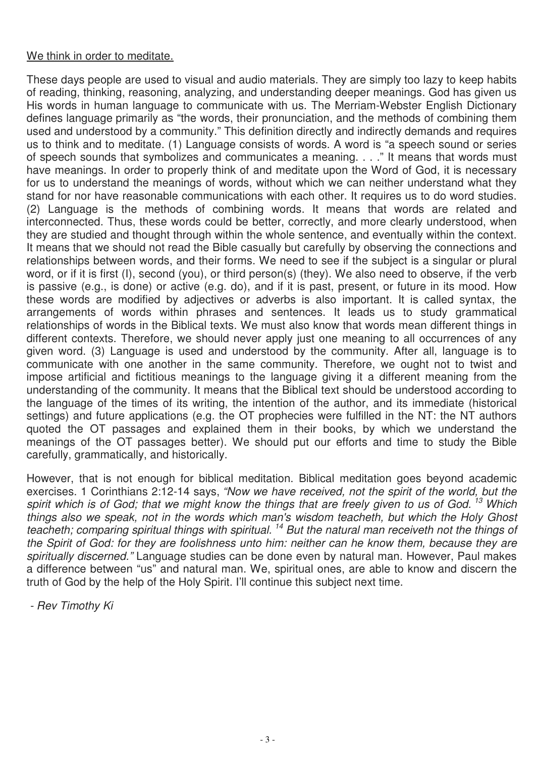## We think in order to meditate.

These days people are used to visual and audio materials. They are simply too lazy to keep habits of reading, thinking, reasoning, analyzing, and understanding deeper meanings. God has given us His words in human language to communicate with us. The Merriam-Webster English Dictionary defines language primarily as "the words, their pronunciation, and the methods of combining them used and understood by a community." This definition directly and indirectly demands and requires us to think and to meditate. (1) Language consists of words. A word is "a speech sound or series of speech sounds that symbolizes and communicates a meaning. . . ." It means that words must have meanings. In order to properly think of and meditate upon the Word of God, it is necessary for us to understand the meanings of words, without which we can neither understand what they stand for nor have reasonable communications with each other. It requires us to do word studies. (2) Language is the methods of combining words. It means that words are related and interconnected. Thus, these words could be better, correctly, and more clearly understood, when they are studied and thought through within the whole sentence, and eventually within the context. It means that we should not read the Bible casually but carefully by observing the connections and relationships between words, and their forms. We need to see if the subject is a singular or plural word, or if it is first (I), second (you), or third person(s) (they). We also need to observe, if the verb is passive (e.g., is done) or active (e.g. do), and if it is past, present, or future in its mood. How these words are modified by adjectives or adverbs is also important. It is called syntax, the arrangements of words within phrases and sentences. It leads us to study grammatical relationships of words in the Biblical texts. We must also know that words mean different things in different contexts. Therefore, we should never apply just one meaning to all occurrences of any given word. (3) Language is used and understood by the community. After all, language is to communicate with one another in the same community. Therefore, we ought not to twist and impose artificial and fictitious meanings to the language giving it a different meaning from the understanding of the community. It means that the Biblical text should be understood according to the language of the times of its writing, the intention of the author, and its immediate (historical settings) and future applications (e.g. the OT prophecies were fulfilled in the NT: the NT authors quoted the OT passages and explained them in their books, by which we understand the meanings of the OT passages better). We should put our efforts and time to study the Bible carefully, grammatically, and historically.

However, that is not enough for biblical meditation. Biblical meditation goes beyond academic exercises. 1 Corinthians 2:12-14 says, "Now we have received, not the spirit of the world, but the spirit which is of God; that we might know the things that are freely given to us of God.<sup>13</sup> Which things also we speak, not in the words which man's wisdom teacheth, but which the Holy Ghost teacheth; comparing spiritual things with spiritual.<sup>14</sup> But the natural man receiveth not the things of the Spirit of God: for they are foolishness unto him: neither can he know them, because they are spiritually discerned." Language studies can be done even by natural man. However, Paul makes a difference between "us" and natural man. We, spiritual ones, are able to know and discern the truth of God by the help of the Holy Spirit. I'll continue this subject next time.

- Rev Timothy Ki